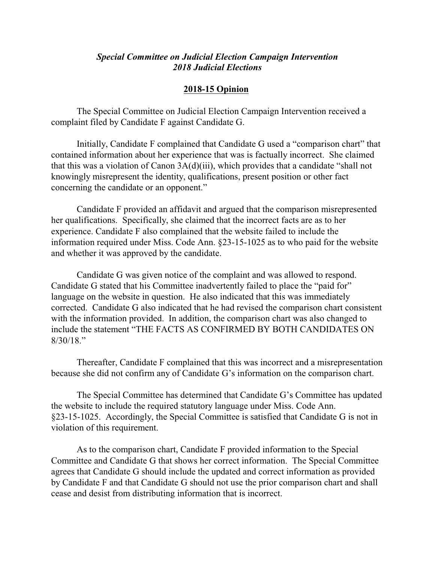## *Special Committee on Judicial Election Campaign Intervention 2018 Judicial Elections*

## **2018-15 Opinion**

The Special Committee on Judicial Election Campaign Intervention received a complaint filed by Candidate F against Candidate G.

Initially, Candidate F complained that Candidate G used a "comparison chart" that contained information about her experience that was is factually incorrect. She claimed that this was a violation of Canon 3A(d)(iii), which provides that a candidate "shall not knowingly misrepresent the identity, qualifications, present position or other fact concerning the candidate or an opponent."

Candidate F provided an affidavit and argued that the comparison misrepresented her qualifications. Specifically, she claimed that the incorrect facts are as to her experience. Candidate F also complained that the website failed to include the information required under Miss. Code Ann. §23-15-1025 as to who paid for the website and whether it was approved by the candidate.

Candidate G was given notice of the complaint and was allowed to respond. Candidate G stated that his Committee inadvertently failed to place the "paid for" language on the website in question. He also indicated that this was immediately corrected. Candidate G also indicated that he had revised the comparison chart consistent with the information provided. In addition, the comparison chart was also changed to include the statement "THE FACTS AS CONFIRMED BY BOTH CANDIDATES ON 8/30/18."

Thereafter, Candidate F complained that this was incorrect and a misrepresentation because she did not confirm any of Candidate G's information on the comparison chart.

The Special Committee has determined that Candidate G's Committee has updated the website to include the required statutory language under Miss. Code Ann. §23-15-1025. Accordingly, the Special Committee is satisfied that Candidate G is not in violation of this requirement.

As to the comparison chart, Candidate F provided information to the Special Committee and Candidate G that shows her correct information. The Special Committee agrees that Candidate G should include the updated and correct information as provided by Candidate F and that Candidate G should not use the prior comparison chart and shall cease and desist from distributing information that is incorrect.